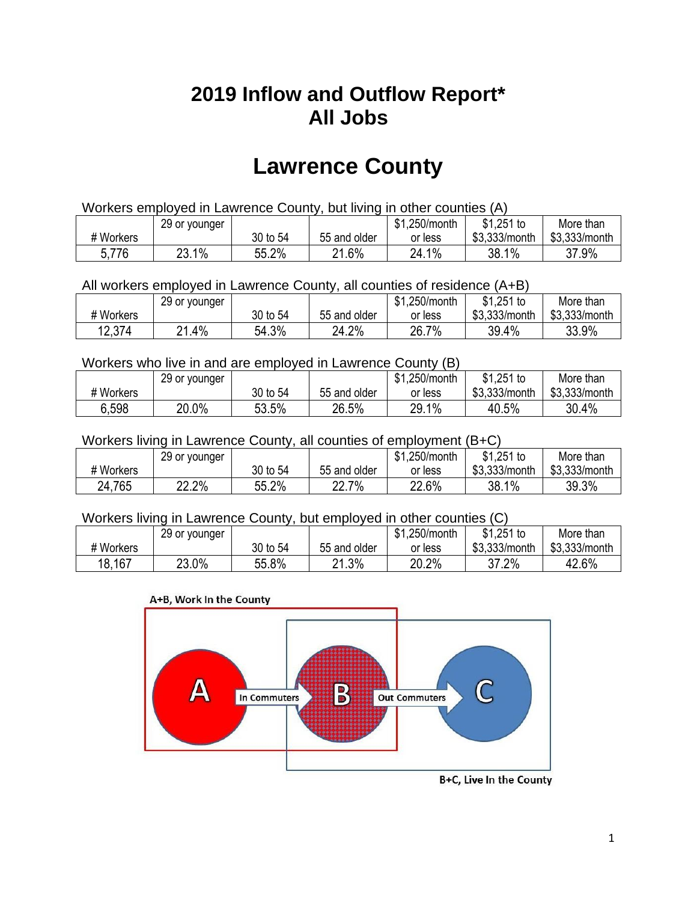## **2019 Inflow and Outflow Report\* All Jobs**

# **Lawrence County**

| Workers employed in Lawrence County, but living in other counties (A) |                                                            |          |              |         |               |               |  |  |  |
|-----------------------------------------------------------------------|------------------------------------------------------------|----------|--------------|---------|---------------|---------------|--|--|--|
|                                                                       | $$1,251$ to<br>\$1,250/month<br>More than<br>29 or younger |          |              |         |               |               |  |  |  |
| # Workers                                                             |                                                            | 30 to 54 | 55 and older | or less | \$3.333/month | \$3,333/month |  |  |  |
| 5,776                                                                 | 23.1%                                                      | 55.2%    | 21.6%        | 24.1%   | 38.1%         | 37.9%         |  |  |  |

All workers employed in Lawrence County, all counties of residence (A+B)

|           | 29 or younger |          |              | \$1,250/month | \$1,251 to    | More than     |
|-----------|---------------|----------|--------------|---------------|---------------|---------------|
| # Workers |               | 30 to 54 | 55 and older | or less       | \$3,333/month | \$3,333/month |
| 12,374    | .4%<br>ດ4     | 54.3%    | 24.2%        | 26.7%         | 39.4%         | 33.9%         |

#### Workers who live in and are employed in Lawrence County (B)

|           | 29 or younger |          |              | \$1,250/month | \$1,251 to    | More than     |
|-----------|---------------|----------|--------------|---------------|---------------|---------------|
| # Workers |               | 30 to 54 | 55 and older | or less       | \$3,333/month | \$3,333/month |
| 6,598     | 20.0%         | 53.5%    | 26.5%        | 29.1%         | 40.5%         | 30.4%         |

#### Workers living in Lawrence County, all counties of employment (B+C)

|           | 29 or younger |          |              | \$1,250/month | \$1,251 to    | More than     |
|-----------|---------------|----------|--------------|---------------|---------------|---------------|
| # Workers |               | 30 to 54 | 55 and older | or less       | \$3,333/month | \$3,333/month |
| 24,765    | 22.2%         | 55.2%    | 22.7%        | 22.6%         | 38.1%         | 39.3%         |

#### Workers living in Lawrence County, but employed in other counties (C)

|           | 29 or younger |          |              | \$1,250/month | \$1,251 to    | More than     |
|-----------|---------------|----------|--------------|---------------|---------------|---------------|
| # Workers |               | 30 to 54 | 55 and older | or less       | \$3,333/month | \$3,333/month |
| 18,167    | 23.0%         | 55.8%    | 21.3%        | 20.2%         | 37.2%         | 42.6%         |





B+C, Live In the County